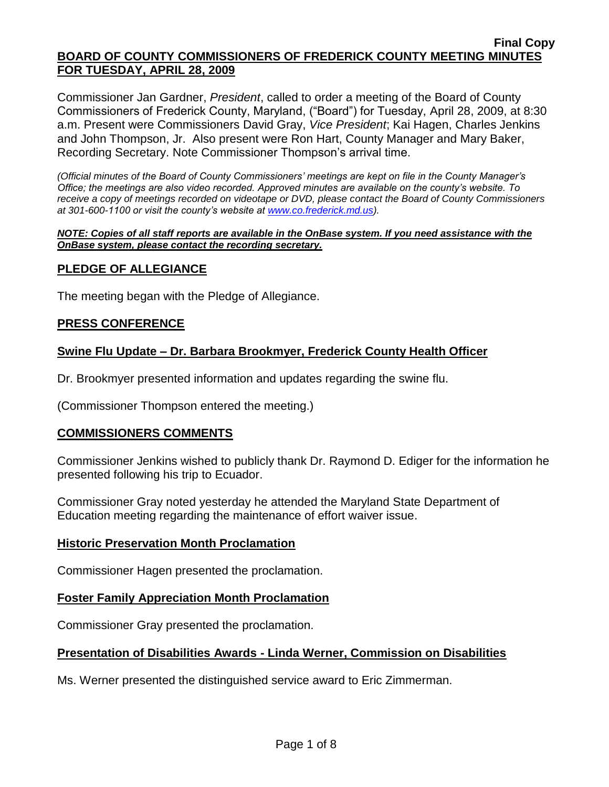Commissioner Jan Gardner, *President*, called to order a meeting of the Board of County Commissioners of Frederick County, Maryland, ("Board") for Tuesday, April 28, 2009, at 8:30 a.m. Present were Commissioners David Gray, *Vice President*; Kai Hagen, Charles Jenkins and John Thompson, Jr. Also present were Ron Hart, County Manager and Mary Baker, Recording Secretary. Note Commissioner Thompson's arrival time.

*(Official minutes of the Board of County Commissioners' meetings are kept on file in the County Manager's Office; the meetings are also video recorded. Approved minutes are available on the county's website. To receive a copy of meetings recorded on videotape or DVD, please contact the Board of County Commissioners at 301-600-1100 or visit the county's website at [www.co.frederick.md.us\)](http://www.co.frederick.md.us/).*

#### *NOTE: Copies of all staff reports are available in the OnBase system. If you need assistance with the OnBase system, please contact the recording secretary.*

# **PLEDGE OF ALLEGIANCE**

The meeting began with the Pledge of Allegiance.

## **PRESS CONFERENCE**

# **Swine Flu Update – Dr. Barbara Brookmyer, Frederick County Health Officer**

Dr. Brookmyer presented information and updates regarding the swine flu.

(Commissioner Thompson entered the meeting.)

## **COMMISSIONERS COMMENTS**

Commissioner Jenkins wished to publicly thank Dr. Raymond D. Ediger for the information he presented following his trip to Ecuador.

Commissioner Gray noted yesterday he attended the Maryland State Department of Education meeting regarding the maintenance of effort waiver issue.

## **Historic Preservation Month Proclamation**

Commissioner Hagen presented the proclamation.

## **Foster Family Appreciation Month Proclamation**

Commissioner Gray presented the proclamation.

## **Presentation of Disabilities Awards - Linda Werner, Commission on Disabilities**

Ms. Werner presented the distinguished service award to Eric Zimmerman.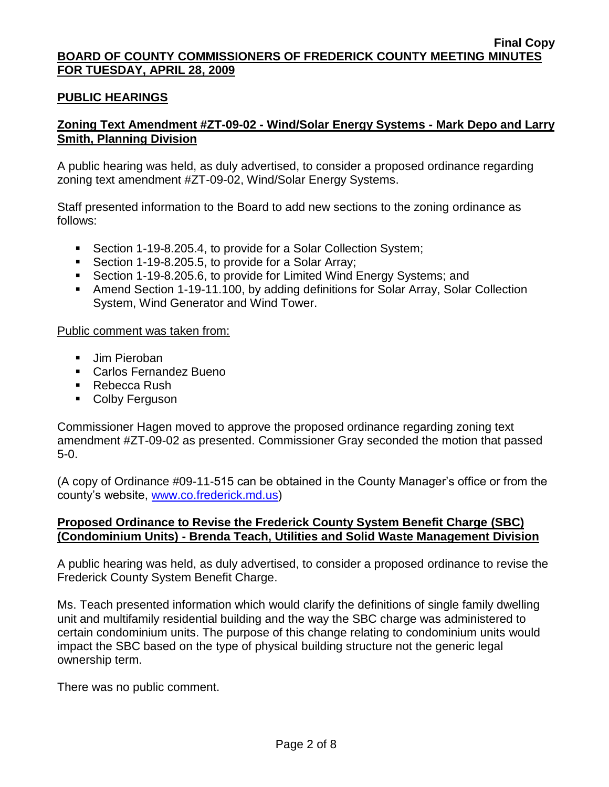## **PUBLIC HEARINGS**

# **Zoning Text Amendment #ZT-09-02 - Wind/Solar Energy Systems - Mark Depo and Larry Smith, Planning Division**

A public hearing was held, as duly advertised, to consider a proposed ordinance regarding zoning text amendment #ZT-09-02, Wind/Solar Energy Systems.

Staff presented information to the Board to add new sections to the zoning ordinance as follows:

- Section 1-19-8.205.4, to provide for a Solar Collection System;
- Section 1-19-8.205.5, to provide for a Solar Array;
- Section 1-19-8.205.6, to provide for Limited Wind Energy Systems; and
- Amend Section 1-19-11.100, by adding definitions for Solar Array, Solar Collection System, Wind Generator and Wind Tower.

### Public comment was taken from:

- **Jim Pieroban**
- **Carlos Fernandez Bueno**
- Rebecca Rush
- Colby Ferguson

Commissioner Hagen moved to approve the proposed ordinance regarding zoning text amendment #ZT-09-02 as presented. Commissioner Gray seconded the motion that passed 5-0.

(A copy of Ordinance #09-11-515 can be obtained in the County Manager's office or from the county's website, [www.co.frederick.md.us\)](http://www.co.frederick.md.us/)

# **Proposed Ordinance to Revise the Frederick County System Benefit Charge (SBC) (Condominium Units) - Brenda Teach, Utilities and Solid Waste Management Division**

A public hearing was held, as duly advertised, to consider a proposed ordinance to revise the Frederick County System Benefit Charge.

Ms. Teach presented information which would clarify the definitions of single family dwelling unit and multifamily residential building and the way the SBC charge was administered to certain condominium units. The purpose of this change relating to condominium units would impact the SBC based on the type of physical building structure not the generic legal ownership term.

There was no public comment.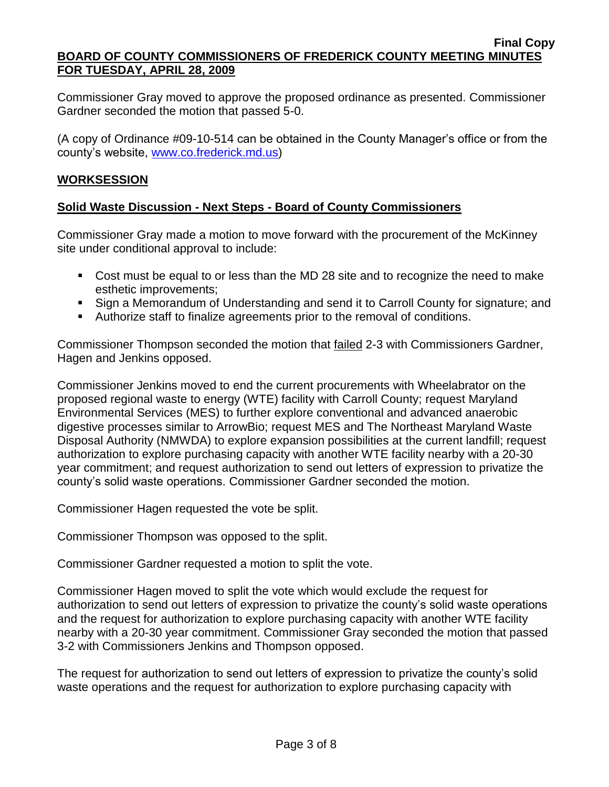Commissioner Gray moved to approve the proposed ordinance as presented. Commissioner Gardner seconded the motion that passed 5-0.

(A copy of Ordinance #09-10-514 can be obtained in the County Manager's office or from the county's website, [www.co.frederick.md.us\)](http://www.co.frederick.md.us/)

## **WORKSESSION**

# **Solid Waste Discussion - Next Steps - Board of County Commissioners**

Commissioner Gray made a motion to move forward with the procurement of the McKinney site under conditional approval to include:

- Cost must be equal to or less than the MD 28 site and to recognize the need to make esthetic improvements;
- Sign a Memorandum of Understanding and send it to Carroll County for signature; and
- Authorize staff to finalize agreements prior to the removal of conditions.

Commissioner Thompson seconded the motion that failed 2-3 with Commissioners Gardner, Hagen and Jenkins opposed.

Commissioner Jenkins moved to end the current procurements with Wheelabrator on the proposed regional waste to energy (WTE) facility with Carroll County; request Maryland Environmental Services (MES) to further explore conventional and advanced anaerobic digestive processes similar to ArrowBio; request MES and The Northeast Maryland Waste Disposal Authority (NMWDA) to explore expansion possibilities at the current landfill; request authorization to explore purchasing capacity with another WTE facility nearby with a 20-30 year commitment; and request authorization to send out letters of expression to privatize the county's solid waste operations. Commissioner Gardner seconded the motion.

Commissioner Hagen requested the vote be split.

Commissioner Thompson was opposed to the split.

Commissioner Gardner requested a motion to split the vote.

Commissioner Hagen moved to split the vote which would exclude the request for authorization to send out letters of expression to privatize the county's solid waste operations and the request for authorization to explore purchasing capacity with another WTE facility nearby with a 20-30 year commitment. Commissioner Gray seconded the motion that passed 3-2 with Commissioners Jenkins and Thompson opposed.

The request for authorization to send out letters of expression to privatize the county's solid waste operations and the request for authorization to explore purchasing capacity with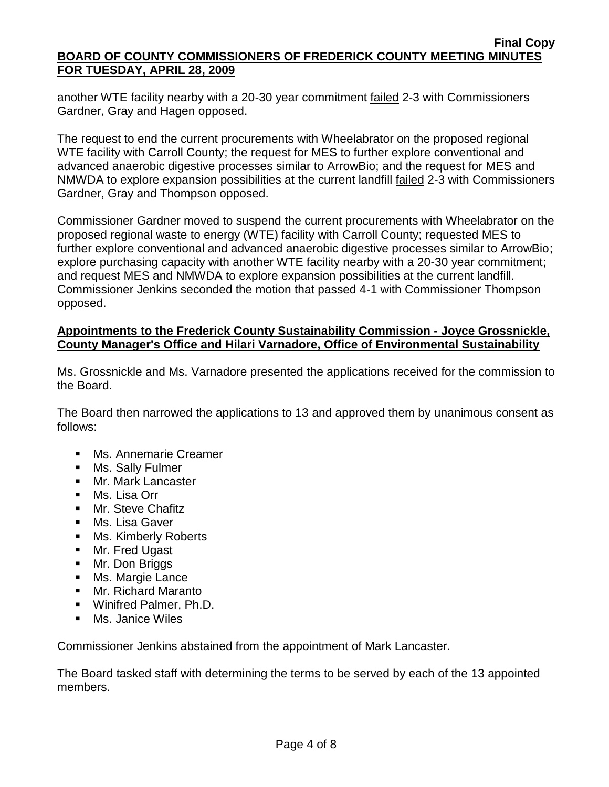another WTE facility nearby with a 20-30 year commitment failed 2-3 with Commissioners Gardner, Gray and Hagen opposed.

The request to end the current procurements with Wheelabrator on the proposed regional WTE facility with Carroll County; the request for MES to further explore conventional and advanced anaerobic digestive processes similar to ArrowBio; and the request for MES and NMWDA to explore expansion possibilities at the current landfill failed 2-3 with Commissioners Gardner, Gray and Thompson opposed.

Commissioner Gardner moved to suspend the current procurements with Wheelabrator on the proposed regional waste to energy (WTE) facility with Carroll County; requested MES to further explore conventional and advanced anaerobic digestive processes similar to ArrowBio; explore purchasing capacity with another WTE facility nearby with a 20-30 year commitment; and request MES and NMWDA to explore expansion possibilities at the current landfill. Commissioner Jenkins seconded the motion that passed 4-1 with Commissioner Thompson opposed.

## **Appointments to the Frederick County Sustainability Commission - Joyce Grossnickle, County Manager's Office and Hilari Varnadore, Office of Environmental Sustainability**

Ms. Grossnickle and Ms. Varnadore presented the applications received for the commission to the Board.

The Board then narrowed the applications to 13 and approved them by unanimous consent as follows:

- Ms. Annemarie Creamer
- **Ms. Sally Fulmer**
- **Mr. Mark Lancaster**
- Ms. Lisa Orr
- **Mr. Steve Chafitz**
- Ms. Lisa Gaver
- **Ms. Kimberly Roberts**
- Mr. Fred Ugast
- **Mr. Don Briggs**
- **Ms. Margie Lance**
- **Mr. Richard Maranto**
- Winifred Palmer, Ph.D.
- **Ms. Janice Wiles**

Commissioner Jenkins abstained from the appointment of Mark Lancaster.

The Board tasked staff with determining the terms to be served by each of the 13 appointed members.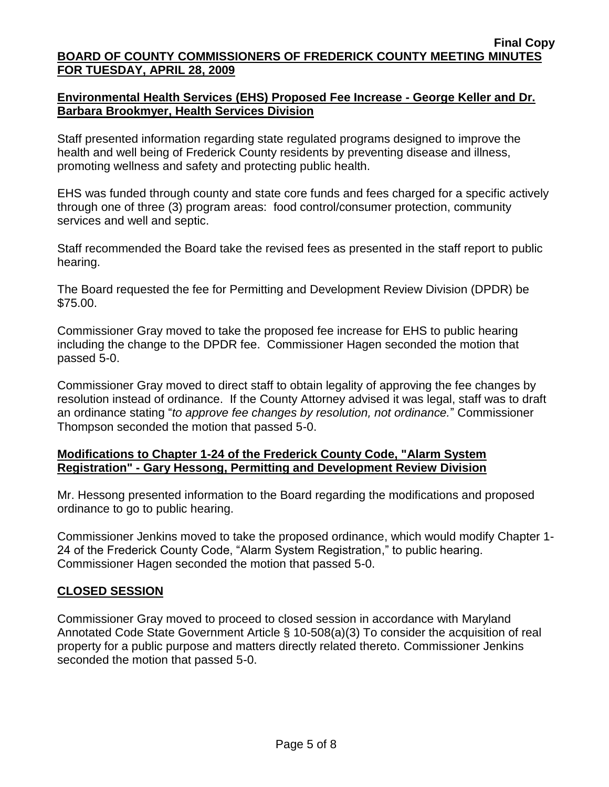# **Environmental Health Services (EHS) Proposed Fee Increase - George Keller and Dr. Barbara Brookmyer, Health Services Division**

Staff presented information regarding state regulated programs designed to improve the health and well being of Frederick County residents by preventing disease and illness, promoting wellness and safety and protecting public health.

EHS was funded through county and state core funds and fees charged for a specific actively through one of three (3) program areas: food control/consumer protection, community services and well and septic.

Staff recommended the Board take the revised fees as presented in the staff report to public hearing.

The Board requested the fee for Permitting and Development Review Division (DPDR) be \$75.00.

Commissioner Gray moved to take the proposed fee increase for EHS to public hearing including the change to the DPDR fee. Commissioner Hagen seconded the motion that passed 5-0.

Commissioner Gray moved to direct staff to obtain legality of approving the fee changes by resolution instead of ordinance. If the County Attorney advised it was legal, staff was to draft an ordinance stating "*to approve fee changes by resolution, not ordinance.*" Commissioner Thompson seconded the motion that passed 5-0.

# **Modifications to Chapter 1-24 of the Frederick County Code, "Alarm System Registration" - Gary Hessong, Permitting and Development Review Division**

Mr. Hessong presented information to the Board regarding the modifications and proposed ordinance to go to public hearing.

Commissioner Jenkins moved to take the proposed ordinance, which would modify Chapter 1- 24 of the Frederick County Code, "Alarm System Registration," to public hearing. Commissioner Hagen seconded the motion that passed 5-0.

# **CLOSED SESSION**

Commissioner Gray moved to proceed to closed session in accordance with Maryland Annotated Code State Government Article § 10-508(a)(3) To consider the acquisition of real property for a public purpose and matters directly related thereto. Commissioner Jenkins seconded the motion that passed 5-0.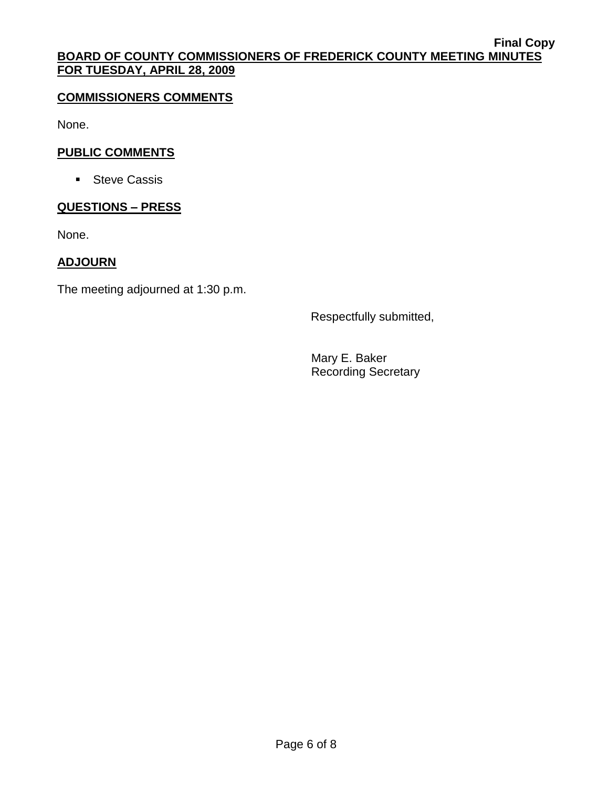# **COMMISSIONERS COMMENTS**

None.

# **PUBLIC COMMENTS**

**Steve Cassis** 

# **QUESTIONS – PRESS**

None.

# **ADJOURN**

The meeting adjourned at 1:30 p.m.

Respectfully submitted,

Mary E. Baker Recording Secretary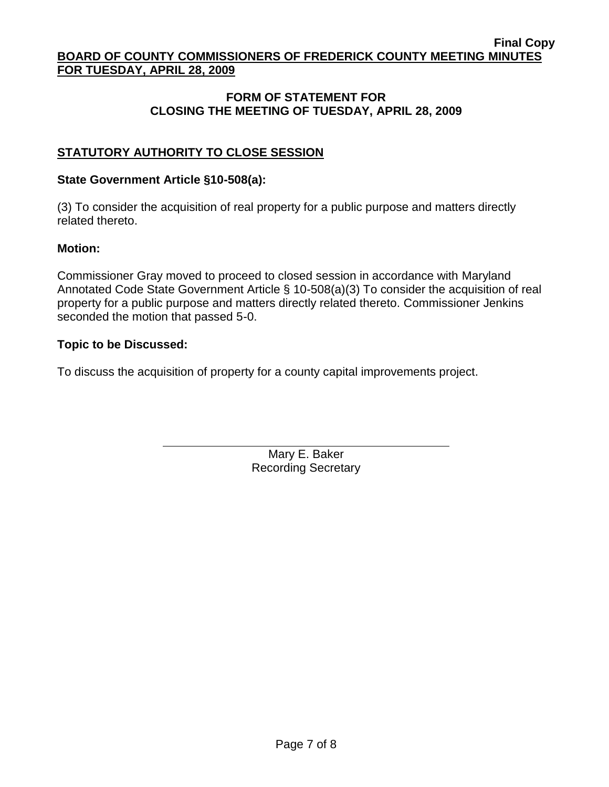## **FORM OF STATEMENT FOR CLOSING THE MEETING OF TUESDAY, APRIL 28, 2009**

# **STATUTORY AUTHORITY TO CLOSE SESSION**

### **State Government Article §10-508(a):**

(3) To consider the acquisition of real property for a public purpose and matters directly related thereto.

#### **Motion:**

Commissioner Gray moved to proceed to closed session in accordance with Maryland Annotated Code State Government Article § 10-508(a)(3) To consider the acquisition of real property for a public purpose and matters directly related thereto. Commissioner Jenkins seconded the motion that passed 5-0.

### **Topic to be Discussed:**

To discuss the acquisition of property for a county capital improvements project.

Mary E. Baker Recording Secretary